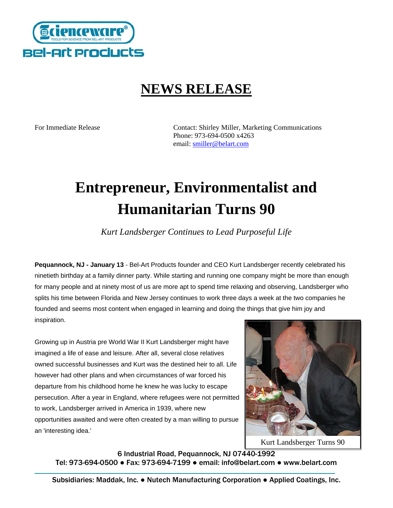

## **NEWS RELEASE**

For Immediate Release Contact: Shirley Miller, Marketing Communications Phone: 973-694-0500 x4263 email: [smiller@belart.com](mailto:smiller@belart.com)

# **Entrepreneur, Environmentalist and Humanitarian Turns 90**

*Kurt Landsberger Continues to Lead Purposeful Life* 

**Pequannock, NJ - January 13** - Bel-Art Products founder and CEO Kurt Landsberger recently celebrated his ninetieth birthday at a family dinner party. While starting and running one company might be more than enough for many people and at ninety most of us are more apt to spend time relaxing and observing, Landsberger who splits his time between Florida and New Jersey continues to work three days a week at the two companies he founded and seems most content when engaged in learning and doing the things that give him joy and inspiration.

Growing up in Austria pre World War II Kurt Landsberger might have imagined a life of ease and leisure. After all, several close relatives owned successful businesses and Kurt was the destined heir to all. Life however had other plans and when circumstances of war forced his departure from his childhood home he knew he was lucky to escape persecution. After a year in England, where refugees were not permitted to work, Landsberger arrived in America in 1939, where new opportunities awaited and were often created by a man willing to pursue an 'interesting idea.'



Kurt Landsberger Turns 90

6 Industrial Road, Pequannock, NJ 07440-1992

Tel: 973-694-0500 ● Fax: 973-694-7199 ● email: info@belart.com ● www.belart.com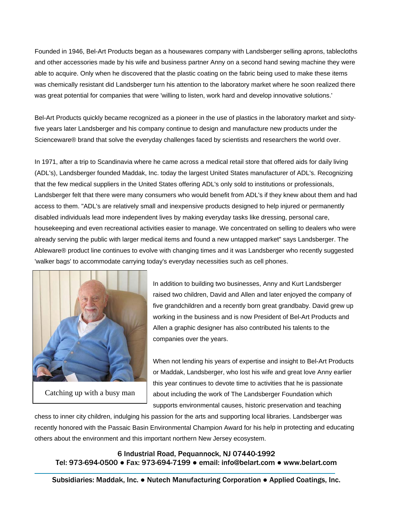Founded in 1946, Bel-Art Products began as a housewares company with Landsberger selling aprons, tablecloths and other accessories made by his wife and business partner Anny on a second hand sewing machine they wer e able to acquire. Only when he discovered that the plastic coating on the fabric being used to make these items was chemically resistant did Landsberger turn his attention to the laboratory market where he soon realize d there was great potential for companies that were 'willing to listen, work hard and develop innovative solutions.'

Bel-Art Products quickly became recognized as a pioneer in the use of plastics in the laboratory market and sixty-Scienceware® brand that solve the everyday challenges faced by scientists and researchers the world over. five years later Landsberger and his company continue to design and manufacture new products under the

(ADL's), Landsberger founded Maddak, Inc. today the largest United States manufacturer of ADL's. Recognizing Landsberger felt that there were many consumers who would benefit from ADL's if they knew about them and had access to them. "ADL's are relatively small and inexpensive products designed to help injured or permanently housekeeping and even recreational activities easier to manage. We concentrated on selling to dealers who were Ableware® product line continues to evolve with changing times and it was Landsberger who recently suggested 'walker bags' to accommodate carrying today's everyday necessities such as cell phones. In 1971, after a trip to Scandinavia where he came across a medical retail store that offered aids for daily living that the few medical suppliers in the United States offering ADL's only sold to institutions or professionals, disabled individuals lead more independent lives by making everyday tasks like dressing, personal care, already serving the public with larger medical items and found a new untapped market" says Landsberger. The



Catching up with a busy man

working in the business and is now President of Bel-Art Products and Allen a graphic designer has also contributed his talents to the companies over the years. In addition to building two businesses, Anny and Kurt Landsberger raised two children, David and Allen and later enjoyed the company of five grandchildren and a recently born great grandbaby. David grew up

or Maddak, Landsberger, who lost his wife and great love Anny earlier this year continues to devote time to activities that he is passionate When not lending his years of expertise and insight to Bel-Art Products about including the work of The Landsberger Foundation which supports environmental causes, historic preservation and teaching

recently honored with the Passaic Basin Environmental Champion Award for his help in protecting and educating others about the environment and this important northern New Jersey ecosystem. chess to inner city children, indulging his passion for the arts and supporting local libraries. Landsberger was

6 Industrial Road, Pequannock, NJ 07440-1992 Tel: 973-694-0500 ● Fax: 973-694-7199 ● email: info@belart.com ● www.belart.com